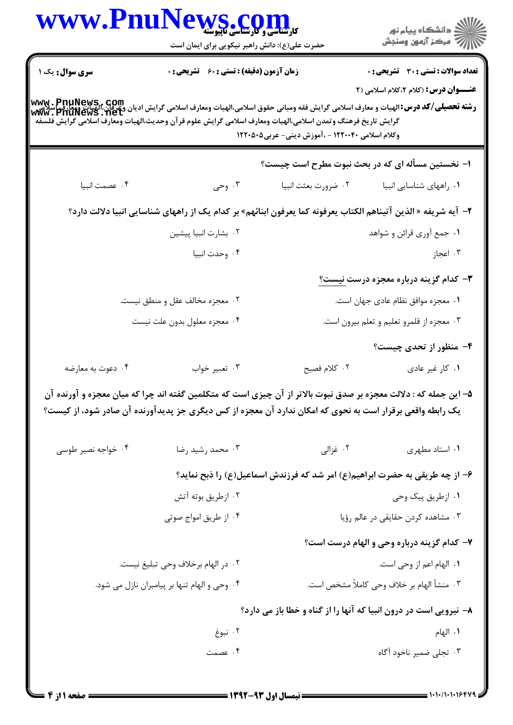|                    | WWW.PnuNews.com                                                                                                                                                                                                                                                                                  |                                                                             | ر<br>دانشڪاه پيام نور)<br>اڳ مرڪز آزمون وسنڊش                     |
|--------------------|--------------------------------------------------------------------------------------------------------------------------------------------------------------------------------------------------------------------------------------------------------------------------------------------------|-----------------------------------------------------------------------------|-------------------------------------------------------------------|
|                    | حضرت علی(ع): دانش راهبر نیکویی برای ایمان است                                                                                                                                                                                                                                                    |                                                                             |                                                                   |
| سری سوال: یک ۱     | زمان آزمون (دقیقه) : تستی : ۶۰٪ تشریحی : ۰                                                                                                                                                                                                                                                       |                                                                             | <b>تعداد سوالات : تستی : 30 ٪ تشریحی : 0</b>                      |
|                    |                                                                                                                                                                                                                                                                                                  |                                                                             | <b>عنـــوان درس:</b> (کلام ۲،کلام اسلامی (۲                       |
|                    | www . PnuNews , com<br>و <b>شته تحصیلی/کد درس:</b> الهیات و معارف اسلامی گرایش فقه ومبانی حقوق اسلامی،الهیات ومعارف اسلامی گرایش ادیان وعرفان،الهیات ومعارف<br>Www . PnuNewS . Net<br>گرايش تاريخ فرهنگ وتمدن اسلامى،الهيات ومعارف اسلامى گرايش علوم قرآن وحديث،الهيات ومعارف اسلامى گرايش فلسفه |                                                                             |                                                                   |
|                    |                                                                                                                                                                                                                                                                                                  | وکلام اسلامی ۱۲۲۰۰۴۰ - ،آموزش دینی- عربی۵۰۵۰ ۱۲۲۰                           |                                                                   |
|                    |                                                                                                                                                                                                                                                                                                  | ا– نخستین مسأله ای که در بحث نبوت مطرح است چیست؟                            |                                                                   |
| ۰۴ عصمت انبيا      | ۰۳ وحی                                                                                                                                                                                                                                                                                           | ۰۲ ضرورت بعثت انبيا                                                         | ٠١. راههای شناسایی انبیا                                          |
|                    | ۲–  آیه شریفه « الذین آتیناهم الکتاب یعرفونه کما یعرفون ابنائهم» بر کدام یک از راههای شناسایی انبیا دلالت دارد؟                                                                                                                                                                                  |                                                                             |                                                                   |
|                    | ۰۲ بشارت انبيا پيشين                                                                                                                                                                                                                                                                             |                                                                             | ۰۱ جمع آوری قرائن و شواهد                                         |
|                    | ۰۴ وحدت انبيا                                                                                                                                                                                                                                                                                    |                                                                             | ۰۳ اعجاز                                                          |
|                    |                                                                                                                                                                                                                                                                                                  |                                                                             | <b>۳</b> – کدام گزینه درباره معجزه درست <u>نیست؟</u>              |
|                    | ۰۲ معجزه مخالف عقل و منطق نیست.                                                                                                                                                                                                                                                                  |                                                                             | ٠١ معجزه موافق نظام عادي جهان است.                                |
|                    | ۰۴ معجزه معلول بدون علت نيست                                                                                                                                                                                                                                                                     |                                                                             | ۰۳ معجزه از قلمرو تعلیم و تعلم بیرون است.                         |
|                    |                                                                                                                                                                                                                                                                                                  |                                                                             | ۴- منظور از تحدی چیست؟                                            |
| ۰۴ دعوت به معارضه  | ۰۳ تعبير خواب                                                                                                                                                                                                                                                                                    | ۰۲ کلام فصیح                                                                | ٠١ كار غير عادى                                                   |
|                    | ۵– این جمله که : دلالت معجزه بر صدق نبوت بالاتر از آن چیزی است که متکلمین گفته اند چرا که میان معجزه و آورنده آن<br>یک رابطه واقعی برقرار است به نحوی که امکان ندارد آن معجزه از کس دیگری جز پدیدآورنده آن صادر شود، از کیست؟                                                                    |                                                                             |                                                                   |
| ۰۴ خواجه نصیر طوسی | ۰۳ محمد رشید رضا                                                                                                                                                                                                                                                                                 | ۰۲ غزالی                                                                    | ٠١. استاد مطهري                                                   |
|                    |                                                                                                                                                                                                                                                                                                  | ۶- از چه طریقی به حضرت ابراهیم(ع) امر شد که فرزندش اسماعیل(ع) را ذبح نماید؟ |                                                                   |
|                    | ۰۲ ازطریق بوته آتش                                                                                                                                                                                                                                                                               |                                                                             | ۰۱ ازطریق پیک وحی                                                 |
|                    | ۰۴ از طریق امواج صوتی                                                                                                                                                                                                                                                                            |                                                                             | ۰۳ مشاهده کردن حقایقی در عالم رؤیا                                |
|                    |                                                                                                                                                                                                                                                                                                  |                                                                             | ۷- کدام گزینه درباره وحی و الهام درست است؟                        |
|                    | ٠٢ در الهام برخلاف وحي تبليغ نيست.                                                                                                                                                                                                                                                               | ٠١. الهام اعم از وحي است.                                                   |                                                                   |
|                    | ۰۴ وحی و الهام تنها بر پیامبران نازل می شود.                                                                                                                                                                                                                                                     |                                                                             | ٣. منشأ الهام بر خلاف وحى كاملاً مشخص است.                        |
|                    |                                                                                                                                                                                                                                                                                                  |                                                                             | ۸- نیرویی است در درون انبیا که آنها را از گناه و خطا باز می دارد؟ |
|                    |                                                                                                                                                                                                                                                                                                  |                                                                             |                                                                   |
|                    | ۰۲ نبوغ                                                                                                                                                                                                                                                                                          |                                                                             | ٠١. الهام                                                         |

1.1./1.1.164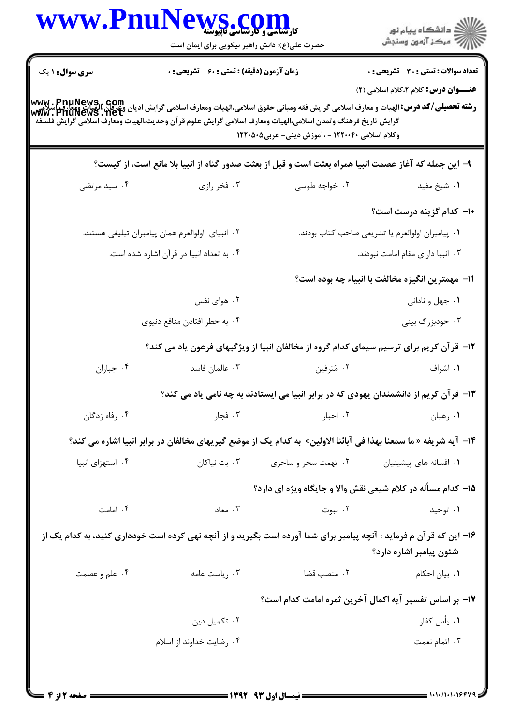| www.Pnu                                                                                                    | <b>WS.COM</b><br>حضرت علی(ع): دانش راهبر نیکویی برای ایمان است |                                                   | ِ<br>∭ دانشڪاه پيام نور<br>∭ مرڪز آزمون وسنڊش                                                                                                                                                                        |
|------------------------------------------------------------------------------------------------------------|----------------------------------------------------------------|---------------------------------------------------|----------------------------------------------------------------------------------------------------------------------------------------------------------------------------------------------------------------------|
| <b>سری سوال : ۱ یک</b>                                                                                     | <b>زمان آزمون (دقیقه) : تستی : 60 ٪ تشریحی : 0</b>             |                                                   | <b>تعداد سوالات : تستی : 30 ٪ تشریحی : 0</b>                                                                                                                                                                         |
| گرايش تاريخ فرهنگ وتمدن اسلامي،الهيات ومعارف اسلامي گرايش علوم قرآن وحديث،الهيات ومعارف اسلامي گرايش فلسفه |                                                                | وکلام اسلامی ۱۲۲۰۰۴۰ - ،آموزش دینی- عربی۵۰۵۰ ۱۲۲۰ | عنـــوان درس: کلام ۲،کلام اسلامی (۲)<br> www . PnuNews,. com<br> و <b>شته تحصیلی/کد درس:</b> الهیات و معارف اسلامی گرایش فقه ومبانی حقوق اسلامی،الهیات ومعارف اسلامی گرایش دیگرایشمان ومعارف<br> www . PnuNews . net |
|                                                                                                            |                                                                |                                                   | ۹– این جمله که آغاز عصمت انبیا همراه بعثت است و قبل از بعثت صدور گناه از انبیا بلا مانع است، از کیست؟                                                                                                                |
| ۰۴ سید مرتضی                                                                                               | ۰۳ فخر رازی                                                    | ۰۲ خواجه طوسی                                     | ۰۱ شیخ مفید                                                                                                                                                                                                          |
|                                                                                                            |                                                                |                                                   | <b>۱۰</b> کدام گزینه درست است؟                                                                                                                                                                                       |
| ۰۲ انبیای اولوالعزم همان پیامبران تبلیغی هستند.                                                            |                                                                |                                                   | ٠١. پيامبران اولوالعزم يا تشريعي صاحب كتاب بودند.                                                                                                                                                                    |
|                                                                                                            | ۰۴ به تعداد انبيا در قرآن اشاره شده است.                       |                                                   | ٠٣ انبيا داراي مقام امامت نبودند.                                                                                                                                                                                    |
|                                                                                                            |                                                                |                                                   | 11– مهمترین انگیزه مخالفت با انبیاء چه بوده است؟                                                                                                                                                                     |
|                                                                                                            | ۰۲ هوای نفس                                                    |                                                   | ۰۱ جهل و نادانی                                                                                                                                                                                                      |
|                                                                                                            | ۰۴ به خطر افتادن منافع دنیوی                                   |                                                   | ۰۳ خودبزرگ بینی                                                                                                                                                                                                      |
|                                                                                                            |                                                                |                                                   | 1۲- قرآن کریم برای ترسیم سیمای کدام گروه از مخالفان انبیا از ویژگیهای فرعون یاد می کند؟                                                                                                                              |
| ۰۴ جباران                                                                                                  | ۰۳ عالمان فاسد                                                 | ۰۲ مُترفين                                        | ۰۱ اشراف                                                                                                                                                                                                             |
|                                                                                                            |                                                                |                                                   | ۱۳- قرآن کریم از دانشمندان یهودی که در برابر انبیا می ایستادند به چه نامی یاد می کند؟                                                                                                                                |
| ۰۴ رفاه زدگان                                                                                              | ا فجار $\mathsf{r}$                                            | ۰۲ احبار                                          | ٠١ رهبان                                                                                                                                                                                                             |
|                                                                                                            |                                                                |                                                   | ۱۴–  آیه شریفه « ما سمعنا بهذا فی آبائنا الاولین»  به کدام یک از موضع گیریهای مخالفان در برابر انبیا اشاره می کند؟                                                                                                   |
| ۰۴ استهزای انبیا                                                                                           | ۰۳ بت نیاکان                                                   | ۰۱ افسانه های پیشینیان مسته آ . تهمت سحر و ساحری  |                                                                                                                                                                                                                      |
|                                                                                                            |                                                                |                                                   | ۱۵– کدام مسأله در کلام شیعی نقش والا و جایگاه ویژه ای دارد؟                                                                                                                                                          |
| ۰۴ امامت                                                                                                   | ۰۳ معاد                                                        | ۰۲ نبوت                                           | ۰۱ توحید                                                                                                                                                                                                             |
|                                                                                                            |                                                                |                                                   | ۱۶– این که قرآن م فرماید : آنچه پیامبر برای شما آورده است بگیرید و از آنچه نهی کرده است خودداری کنید، به کدام یک از<br>شئون پیامبر اشاره دارد؟                                                                       |
| ۰۴ علم و عصمت                                                                                              | ۰۳ ریاست عامه                                                  | ٢. منصب قضا                                       | ۰۱ بیان احکام                                                                                                                                                                                                        |
|                                                                                                            |                                                                |                                                   | ۱۷- بر اساس تفسیر آیه اکمال آخرین ثمره امامت کدام است؟                                                                                                                                                               |
|                                                                                                            | ۰۲ تکمیل دین                                                   |                                                   | ۰۱. یأس کفار                                                                                                                                                                                                         |
|                                                                                                            | ۰۴ رضایت خداوند از اسلام                                       |                                                   | ۰۳ اتمام نعمت                                                                                                                                                                                                        |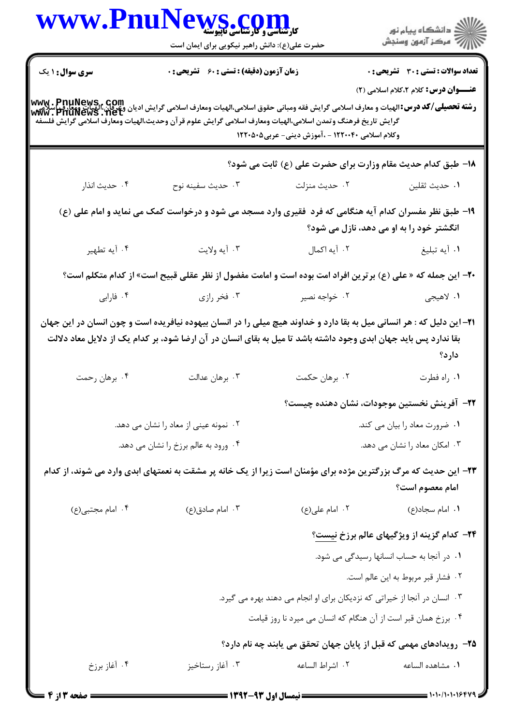|                        | WWW.PnuNews.com<br>حضرت علی(ع): دانش راهبر نیکویی برای ایمان است                                                                                                                                                                                                                      |                                                                                       | ِ<br>∭ دانشڪاه پيام نور<br>∭ مرڪز آزمون وسنڊش      |
|------------------------|---------------------------------------------------------------------------------------------------------------------------------------------------------------------------------------------------------------------------------------------------------------------------------------|---------------------------------------------------------------------------------------|----------------------------------------------------|
| <b>سری سوال :</b> ۱ یک | زمان آزمون (دقیقه) : تستی : 60 ٪ تشریحی : 0                                                                                                                                                                                                                                           |                                                                                       | <b>تعداد سوالات : تستی : 30 ٪ تشریحی : 0</b>       |
|                        | www. PnuNews, com<br>  <b>رشته تحصیلی/کد درس:</b> الهیات و معارف اسلامی گرایش فقه ومبانی حقوق اسلامی،الهیات ومعارف اسلامی گرایش وی وی این اسلام<br>  www. PnuNews . net<br>گرايش تاريخ فرهنگ وتمدن اسلامى،الهيات ومعارف اسلامى گرايش علوم قرآن وحديث،الهيات ومعارف اسلامى گرايش فلسفه | وکلام اسلامی ۱۲۲۰۰۴۰ - ،آموزش دینی- عربی۵۰۵۰ ۱۲۲۰                                     | <b>عنــــوان درس:</b> کلام ۲،کلام اسلامی (۲)       |
|                        |                                                                                                                                                                                                                                                                                       | 18- طبق کدام حدیث مقام وزارت برای حضرت علی (ع) ثابت می شود؟                           |                                                    |
| ۰۴ حديث انذار          | ۰۳ حديث سفينه نوح                                                                                                                                                                                                                                                                     | ۰۲ حديث منزلت                                                                         | ٠١ حديث ثقلين                                      |
|                        | ۱۹- طبق نظر مفسران کدام آیه هنگامی که فرد ًفقیری وارد مسجد می شود و درخواست کمک می نماید و امام علی (ع)                                                                                                                                                                               |                                                                                       | انگشتر خود را به او می دهد، نازل می شود؟           |
| ۰۴ آيه تطهير           | ۰۳ آيه ولايت                                                                                                                                                                                                                                                                          | ٢. آيه اكمال                                                                          | ۰۱ أيه تبليغ                                       |
|                        | <b>۲۰</b> - این جمله که « علی (ع) برترین افراد امت بوده است و امامت مفضول از نظر عقلی قبیح است» از کدام متکلم است؟                                                                                                                                                                    |                                                                                       |                                                    |
| ۰۴ فارابی              | ۰۳ فخر رازی                                                                                                                                                                                                                                                                           | ۰۲ خواجه نصیر                                                                         | ۱. لاهيجي                                          |
|                        | ۲۱– این دلیل که : هر انسانی میل به بقا دارد و خداوند هیچ میلی را در انسان بیهوده نیافریده است و چون انسان در این جهان<br>بقا ندارد پس باید جهان ابدی وجود داشته باشد تا میل به بقای انسان در آن ارضا شود، بر کدام یک از دلایل معاد دلالت                                              |                                                                                       | دارد؟                                              |
|                        |                                                                                                                                                                                                                                                                                       |                                                                                       |                                                    |
| ۴. برهان رحمت          | ۰۳ برهان عدالت                                                                                                                                                                                                                                                                        | ۰۲ برهان حکمت                                                                         | ٠١. راه فطرت                                       |
|                        |                                                                                                                                                                                                                                                                                       |                                                                                       | ٢٢- آفرينش نخستين موجودات، نشان دهنده چيست؟        |
|                        | ۰۲ نمونه عینی از معاد را نشان می دهد.                                                                                                                                                                                                                                                 |                                                                                       | ۰۱ ضرورت معاد را بیان می کند.                      |
|                        | ۰۴ ورود به عالم برزخ را نشان می دهد.                                                                                                                                                                                                                                                  |                                                                                       | ۰۳ امکان معاد را نشان می دهد.                      |
|                        | ۲۳– این حدیث که مرگ بزرگترین مژده برای مؤمنان است زیرا از یک خانه پر مشقت به نعمتهای ابدی وارد می شوند، از کدام                                                                                                                                                                       |                                                                                       | امام معصوم است؟                                    |
| ۰۴ امام مجتبی(ع)       | ۰۳ امام صادق(ع)                                                                                                                                                                                                                                                                       | ۰۲ امام علی(ع)                                                                        | ۰۱ امام سجاد(ع)                                    |
|                        |                                                                                                                                                                                                                                                                                       |                                                                                       | <b>۲۴- کدام گزینه از ویژگیهای عالم برزخ نیست</b> ؟ |
|                        |                                                                                                                                                                                                                                                                                       |                                                                                       | ۰۱ در آنجا به حساب انسانها رسیدگی می شود.          |
|                        |                                                                                                                                                                                                                                                                                       |                                                                                       | ٠٢ فشار قبر مربوط به اين عالم است.                 |
|                        |                                                                                                                                                                                                                                                                                       | ۰۳ انسان در آنجا از خیراتی که نزدیکان برای او انجام می دهند بهره می گیرد.             |                                                    |
|                        |                                                                                                                                                                                                                                                                                       | ۰۴ برزخ همان قبر است از آن هنگام که انسان می میرد نا روز قیامت                        |                                                    |
| ۰۴ آغاز برزخ           | ۰۳ آغاز رستاخيز                                                                                                                                                                                                                                                                       | ۲۵– رویدادهای مهمی که قبل از پایان جهان تحقق می یابند چه نام دارد؟<br>٢. اشراط الساعه | ٠١. مشاهده الساعه                                  |

1.1.1.1.164